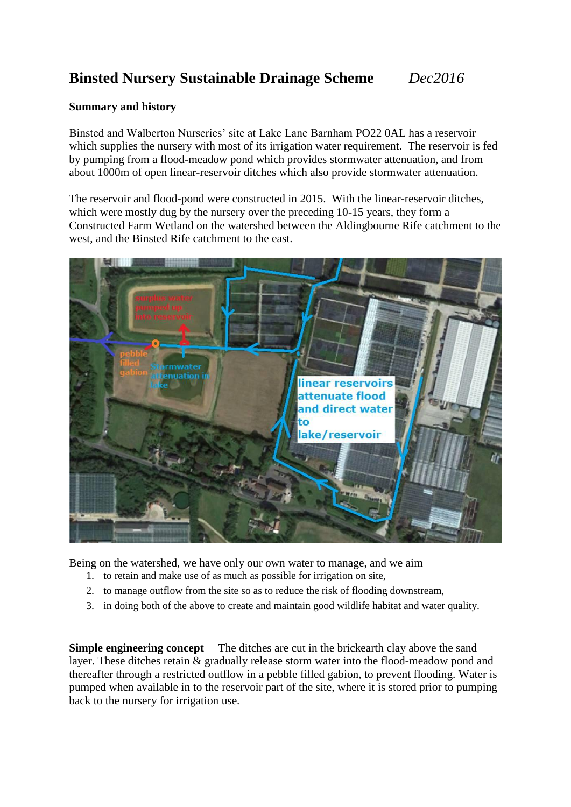## **Binsted Nursery Sustainable Drainage Scheme** *Dec2016*

#### **Summary and history**

Binsted and Walberton Nurseries' site at Lake Lane Barnham PO22 0AL has a reservoir which supplies the nursery with most of its irrigation water requirement. The reservoir is fed by pumping from a flood-meadow pond which provides stormwater attenuation, and from about 1000m of open linear-reservoir ditches which also provide stormwater attenuation.

The reservoir and flood-pond were constructed in 2015. With the linear-reservoir ditches, which were mostly dug by the nursery over the preceding 10-15 years, they form a Constructed Farm Wetland on the watershed between the Aldingbourne Rife catchment to the west, and the Binsted Rife catchment to the east.



Being on the watershed, we have only our own water to manage, and we aim

- 1. to retain and make use of as much as possible for irrigation on site,
- 2. to manage outflow from the site so as to reduce the risk of flooding downstream,
- 3. in doing both of the above to create and maintain good wildlife habitat and water quality.

**Simple engineering concept** The ditches are cut in the brickearth clay above the sand layer. These ditches retain & gradually release storm water into the flood-meadow pond and thereafter through a restricted outflow in a pebble filled gabion, to prevent flooding. Water is pumped when available in to the reservoir part of the site, where it is stored prior to pumping back to the nursery for irrigation use.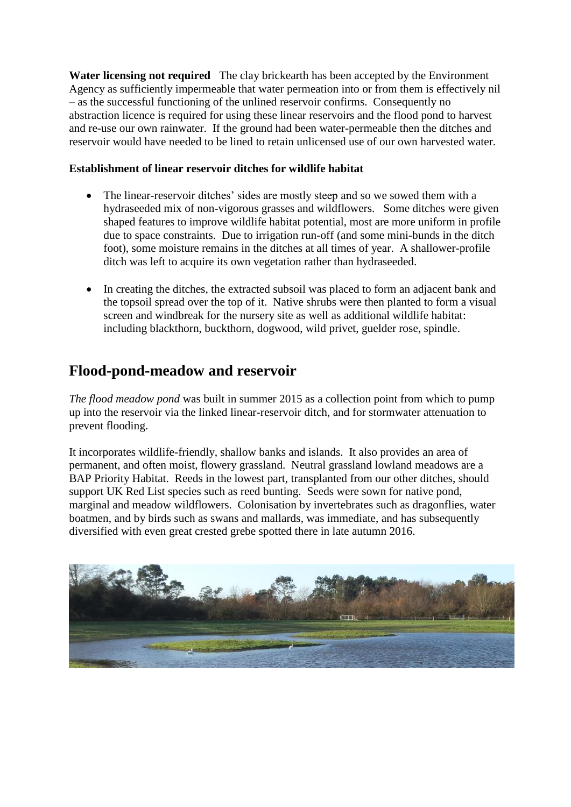**Water licensing not required** The clay brickearth has been accepted by the Environment Agency as sufficiently impermeable that water permeation into or from them is effectively nil  $-$  as the successful functioning of the unlined reservoir confirms. Consequently no abstraction licence is required for using these linear reservoirs and the flood pond to harvest and re-use our own rainwater. If the ground had been water-permeable then the ditches and reservoir would have needed to be lined to retain unlicensed use of our own harvested water.

### **Establishment of linear reservoir ditches for wildlife habitat**

- The linear-reservoir ditches' sides are mostly steep and so we sowed them with a hydraseeded mix of non-vigorous grasses and wildflowers. Some ditches were given shaped features to improve wildlife habitat potential, most are more uniform in profile due to space constraints. Due to irrigation run-off (and some mini-bunds in the ditch foot), some moisture remains in the ditches at all times of year. A shallower-profile ditch was left to acquire its own vegetation rather than hydraseeded.
- In creating the ditches, the extracted subsoil was placed to form an adjacent bank and the topsoil spread over the top of it. Native shrubs were then planted to form a visual screen and windbreak for the nursery site as well as additional wildlife habitat: including blackthorn, buckthorn, dogwood, wild privet, guelder rose, spindle.

# **Flood-pond-meadow and reservoir**

*The flood meadow pond* was built in summer 2015 as a collection point from which to pump up into the reservoir via the linked linear-reservoir ditch, and for stormwater attenuation to prevent flooding.

It incorporates wildlife-friendly, shallow banks and islands. It also provides an area of permanent, and often moist, flowery grassland. Neutral grassland lowland meadows are a BAP Priority Habitat. Reeds in the lowest part, transplanted from our other ditches, should support UK Red List species such as reed bunting. Seeds were sown for native pond, marginal and meadow wildflowers. Colonisation by invertebrates such as dragonflies, water boatmen, and by birds such as swans and mallards, was immediate, and has subsequently diversified with even great crested grebe spotted there in late autumn 2016.

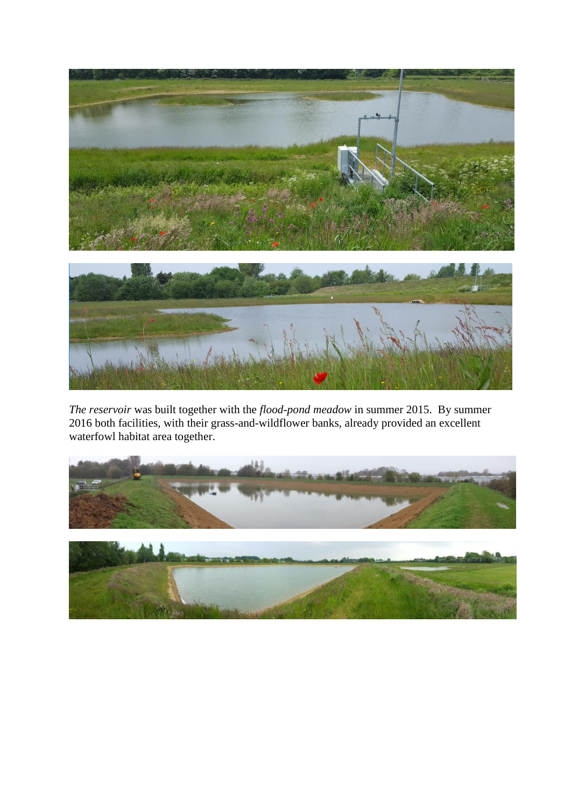

*The reservoir* was built together with the *flood-pond meadow* in summer 2015. By summer 2016 both facilities, with their grass-and-wildflower banks, already provided an excellent waterfowl habitat area together.